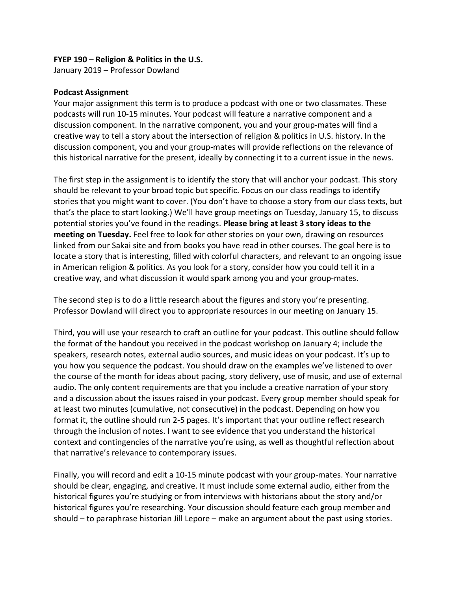#### **FYEP 190 – Religion & Politics in the U.S.**

January 2019 – Professor Dowland

#### **Podcast Assignment**

Your major assignment this term is to produce a podcast with one or two classmates. These podcasts will run 10-15 minutes. Your podcast will feature a narrative component and a discussion component. In the narrative component, you and your group-mates will find a creative way to tell a story about the intersection of religion & politics in U.S. history. In the discussion component, you and your group-mates will provide reflections on the relevance of this historical narrative for the present, ideally by connecting it to a current issue in the news.

The first step in the assignment is to identify the story that will anchor your podcast. This story should be relevant to your broad topic but specific. Focus on our class readings to identify stories that you might want to cover. (You don't have to choose a story from our class texts, but that's the place to start looking.) We'll have group meetings on Tuesday, January 15, to discuss potential stories you've found in the readings. **Please bring at least 3 story ideas to the meeting on Tuesday.** Feel free to look for other stories on your own, drawing on resources linked from our Sakai site and from books you have read in other courses. The goal here is to locate a story that is interesting, filled with colorful characters, and relevant to an ongoing issue in American religion & politics. As you look for a story, consider how you could tell it in a creative way, and what discussion it would spark among you and your group-mates.

The second step is to do a little research about the figures and story you're presenting. Professor Dowland will direct you to appropriate resources in our meeting on January 15.

Third, you will use your research to craft an outline for your podcast. This outline should follow the format of the handout you received in the podcast workshop on January 4; include the speakers, research notes, external audio sources, and music ideas on your podcast. It's up to you how you sequence the podcast. You should draw on the examples we've listened to over the course of the month for ideas about pacing, story delivery, use of music, and use of external audio. The only content requirements are that you include a creative narration of your story and a discussion about the issues raised in your podcast. Every group member should speak for at least two minutes (cumulative, not consecutive) in the podcast. Depending on how you format it, the outline should run 2-5 pages. It's important that your outline reflect research through the inclusion of notes. I want to see evidence that you understand the historical context and contingencies of the narrative you're using, as well as thoughtful reflection about that narrative's relevance to contemporary issues.

Finally, you will record and edit a 10-15 minute podcast with your group-mates. Your narrative should be clear, engaging, and creative. It must include some external audio, either from the historical figures you're studying or from interviews with historians about the story and/or historical figures you're researching. Your discussion should feature each group member and should – to paraphrase historian Jill Lepore – make an argument about the past using stories.